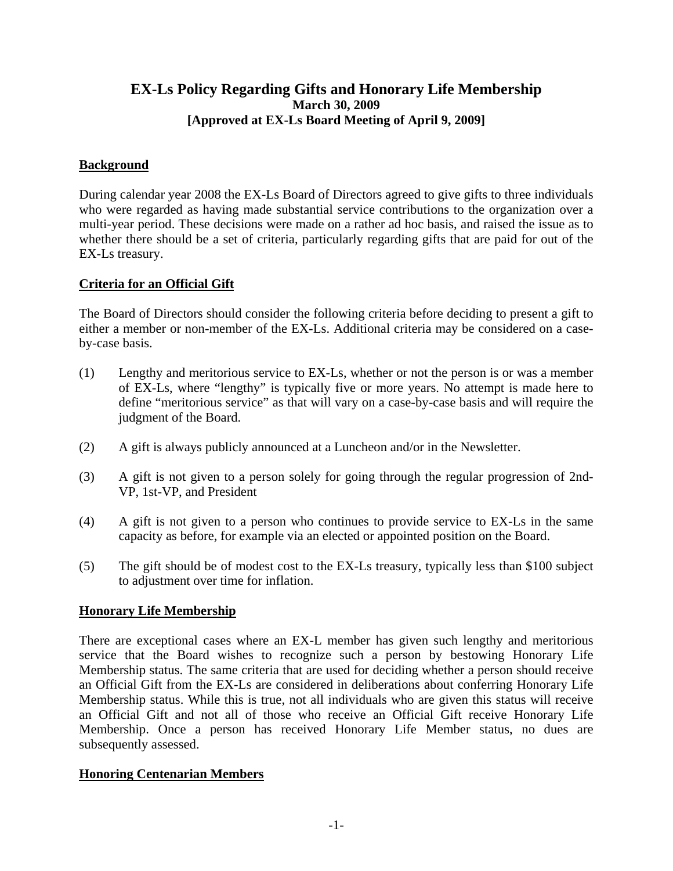# **March 30, 2009 [Approved at EX-Ls Board Meeting of April 9, 2009]**

# **Background**

During calendar year 2008 the EX-Ls Board of Directors agreed to give gifts to three individuals who were regarded as having made substantial service contributions to the organization over a multi-year period. These decisions were made on a rather ad hoc basis, and raised the issue as to whether there should be a set of criteria, particularly regarding gifts that are paid for out of the EX-Ls treasury.

## **Criteria for an Official Gift**

The Board of Directors should consider the following criteria before deciding to present a gift to either a member or non-member of the EX-Ls. Additional criteria may be considered on a caseby-case basis.

- (1) Lengthy and meritorious service to EX-Ls, whether or not the person is or was a member of EX-Ls, where "lengthy" is typically five or more years. No attempt is made here to define "meritorious service" as that will vary on a case-by-case basis and will require the judgment of the Board.
- (2) A gift is always publicly announced at a Luncheon and/or in the Newsletter.
- (3) <sup>A</sup> gift is not given to <sup>a</sup> person solely for going through the regular progression of 2nd-VP, 1st-VP, and President
- (4) A gift is not given to a person who continuesto provide service to EX-Ls in the same capacity as before, for example via an elected or appointed position on the Board.
- (5) The gift should be of modest cost to the EX-Ls treasury, typically less than \$100 subject to adjustment over time for inflation.

### **Honorary Life Membership**

**EX-Ls Policy Regarding Gifts and Honorary Life Membership**<br> **(Approved at EX-Ls Board Metring of April 9, 2009)**<br> **(Approved at EX-Ls Board Metring of April 9, 2009)**<br> **Induction**<br> **Example 10. Subset in the Section Secti** There are exceptional cases where an EX-L member has given such lengthy and meritorious service that the Board wishes to recognize such a person by bestowing Honorary Life Membership status. The same criteria that are used for deciding whether a person should receive an Official Gift from the EX-Ls are considered in deliberations about conferring Honorary Life Membership status. While this is true, not all individuals who are given this status will receive an Official Gift and not all of those who receive an Official Gift receive Honorary Life Membership. Once a person has received Honorary Life Member status, no dues are subsequently assessed.

### **Honoring Centenarian Members**